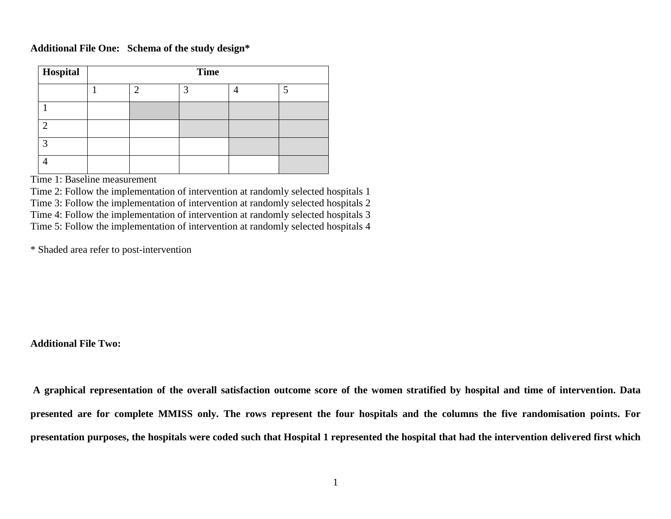## **Additional File One: Schema of the study design\***

| Hospital     | <b>Time</b> |   |   |  |   |
|--------------|-------------|---|---|--|---|
|              |             | ◠ | 3 |  | 5 |
|              |             |   |   |  |   |
| ◠            |             |   |   |  |   |
| $\mathbf{z}$ |             |   |   |  |   |
|              |             |   |   |  |   |

Time 1: Baseline measurement

Time 2: Follow the implementation of intervention at randomly selected hospitals 1

Time 3: Follow the implementation of intervention at randomly selected hospitals 2

Time 4: Follow the implementation of intervention at randomly selected hospitals 3

Time 5: Follow the implementation of intervention at randomly selected hospitals 4

\* Shaded area refer to post-intervention

## **Additional File Two:**

**A graphical representation of the overall satisfaction outcome score of the women stratified by hospital and time of intervention. Data presented are for complete MMISS only. The rows represent the four hospitals and the columns the five randomisation points. For presentation purposes, the hospitals were coded such that Hospital 1 represented the hospital that had the intervention delivered first which**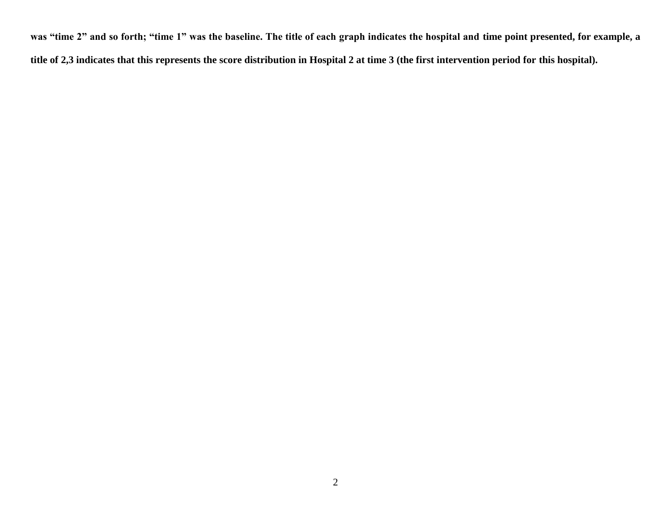**was "time 2" and so forth; "time 1" was the baseline. The title of each graph indicates the hospital and time point presented, for example, a title of 2,3 indicates that this represents the score distribution in Hospital 2 at time 3 (the first intervention period for this hospital).**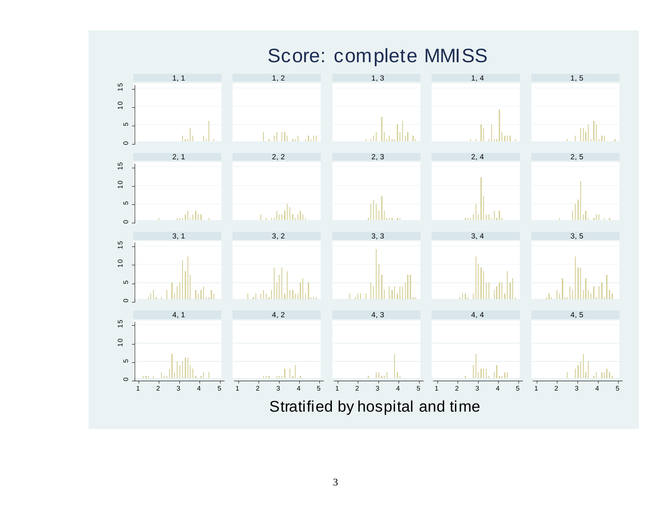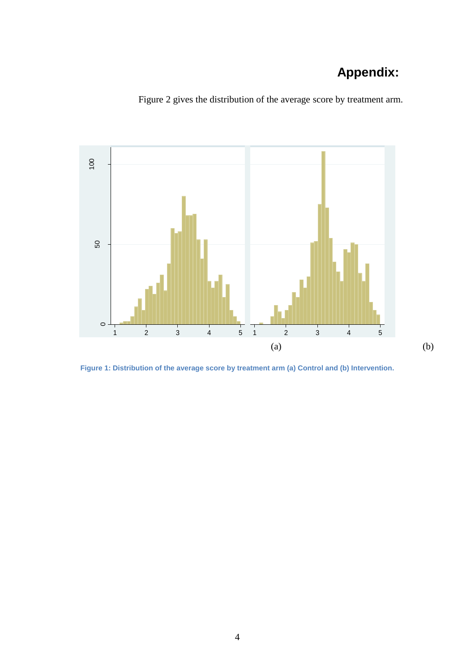## **Appendix:**



Figure 2 gives the distribution of the average score by treatment arm.

**Figure 1: Distribution of the average score by treatment arm (a) Control and (b) Intervention.**